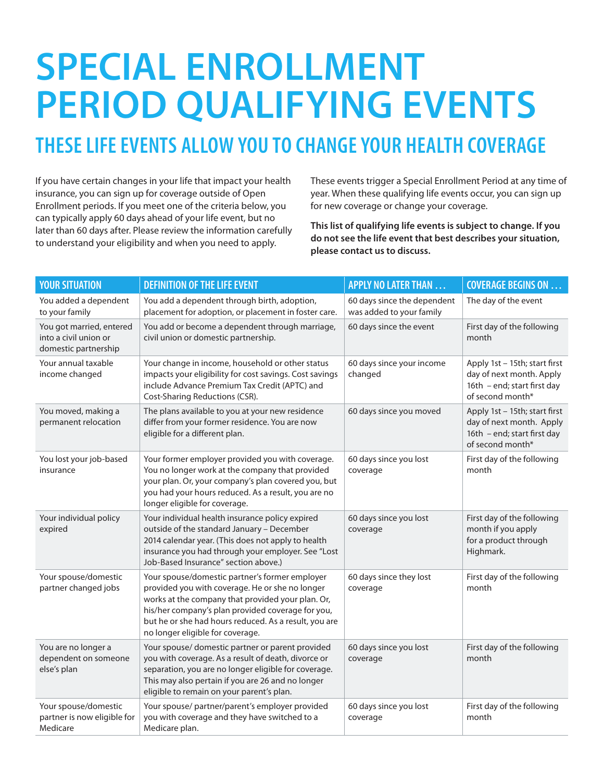## **SPECIAL ENROLLMENT PERIOD QUALIFying events**

## **THESE LIFE EVENTS ALLOW YOU TO CHANGE YOUR HEALTH COVERAGE**

If you have certain changes in your life that impact your health insurance, you can sign up for coverage outside of Open Enrollment periods. If you meet one of the criteria below, you can typically apply 60 days ahead of your life event, but no later than 60 days after. Please review the information carefully to understand your eligibility and when you need to apply.

These events trigger a Special Enrollment Period at any time of year. When these qualifying life events occur, you can sign up for new coverage or change your coverage.

**This list of qualifying life events is subject to change. If you do not see the life event that best describes your situation, please contact us to discuss.**

| <b>YOUR SITUATION</b>                                                     | <b>DEFINITION OF THE LIFE EVENT</b>                                                                                                                                                                                                                                                                      | <b>APPLY NO LATER THAN </b>                             | <b>COVERAGE BEGINS ON </b>                                                                                   |
|---------------------------------------------------------------------------|----------------------------------------------------------------------------------------------------------------------------------------------------------------------------------------------------------------------------------------------------------------------------------------------------------|---------------------------------------------------------|--------------------------------------------------------------------------------------------------------------|
| You added a dependent<br>to your family                                   | You add a dependent through birth, adoption,<br>placement for adoption, or placement in foster care.                                                                                                                                                                                                     | 60 days since the dependent<br>was added to your family | The day of the event                                                                                         |
| You got married, entered<br>into a civil union or<br>domestic partnership | You add or become a dependent through marriage,<br>civil union or domestic partnership.                                                                                                                                                                                                                  | 60 days since the event                                 | First day of the following<br>month                                                                          |
| Your annual taxable<br>income changed                                     | Your change in income, household or other status<br>impacts your eligibility for cost savings. Cost savings<br>include Advance Premium Tax Credit (APTC) and<br>Cost-Sharing Reductions (CSR).                                                                                                           | 60 days since your income<br>changed                    | Apply 1st - 15th; start first<br>day of next month. Apply<br>16th - end; start first day<br>of second month* |
| You moved, making a<br>permanent relocation                               | The plans available to you at your new residence<br>differ from your former residence. You are now<br>eligible for a different plan.                                                                                                                                                                     | 60 days since you moved                                 | Apply 1st - 15th; start first<br>day of next month. Apply<br>16th - end; start first day<br>of second month* |
| You lost your job-based<br>insurance                                      | Your former employer provided you with coverage.<br>You no longer work at the company that provided<br>your plan. Or, your company's plan covered you, but<br>you had your hours reduced. As a result, you are no<br>longer eligible for coverage.                                                       | 60 days since you lost<br>coverage                      | First day of the following<br>month                                                                          |
| Your individual policy<br>expired                                         | Your individual health insurance policy expired<br>outside of the standard January - December<br>2014 calendar year. (This does not apply to health<br>insurance you had through your employer. See "Lost<br>Job-Based Insurance" section above.)                                                        | 60 days since you lost<br>coverage                      | First day of the following<br>month if you apply<br>for a product through<br>Highmark.                       |
| Your spouse/domestic<br>partner changed jobs                              | Your spouse/domestic partner's former employer<br>provided you with coverage. He or she no longer<br>works at the company that provided your plan. Or,<br>his/her company's plan provided coverage for you,<br>but he or she had hours reduced. As a result, you are<br>no longer eligible for coverage. | 60 days since they lost<br>coverage                     | First day of the following<br>month                                                                          |
| You are no longer a<br>dependent on someone<br>else's plan                | Your spouse/ domestic partner or parent provided<br>you with coverage. As a result of death, divorce or<br>separation, you are no longer eligible for coverage.<br>This may also pertain if you are 26 and no longer<br>eligible to remain on your parent's plan.                                        | 60 days since you lost<br>coverage                      | First day of the following<br>month                                                                          |
| Your spouse/domestic<br>partner is now eligible for<br>Medicare           | Your spouse/ partner/parent's employer provided<br>you with coverage and they have switched to a<br>Medicare plan.                                                                                                                                                                                       | 60 days since you lost<br>coverage                      | First day of the following<br>month                                                                          |